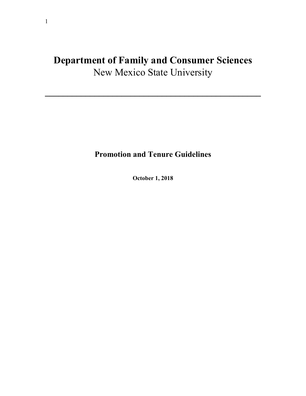# **Department of Family and Consumer Sciences**  New Mexico State University

**\_\_\_\_\_\_\_\_\_\_\_\_\_\_\_\_\_\_\_\_\_\_\_\_\_\_\_\_\_\_\_\_\_\_\_\_\_\_\_\_\_\_\_\_\_\_\_\_** 

# **Promotion and Tenure Guidelines**

**October 1, 2018**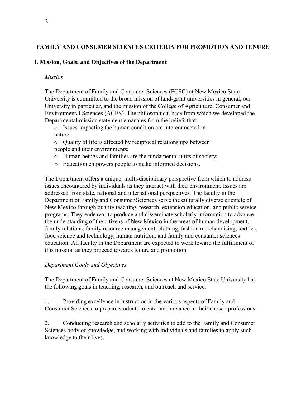#### 2

#### **FAMILY AND CONSUMER SCIENCES CRITERIA FOR PROMOTION AND TENURE**

#### **I. Mission, Goals, and Objectives of the Department**

#### *Mission*

The Department of Family and Consumer Sciences (FCSC) at New Mexico State University is committed to the broad mission of land-grant universities in general, our University in particular, and the mission of the College of Agriculture, Consumer and Environmental Sciences (ACES). The philosophical base from which we developed the Departmental mission statement emanates from the beliefs that:

o Issues impacting the human condition are interconnected in nature;

o Quality of life is affected by reciprocal relationships between people and their environments;

- o Human beings and families are the fundamental units of society;
- o Education empowers people to make informed decisions.

The Department offers a unique, multi-disciplinary perspective from which to address issues encountered by individuals as they interact with their environment. Issues are addressed from state, national and international perspectives. The faculty in the Department of Family and Consumer Sciences serve the culturally diverse clientele of New Mexico through quality teaching, research, extension education, and public service programs. They endeavor to produce and disseminate scholarly information to advance the understanding of the citizens of New Mexico in the areas of human development, family relations, family resource management, clothing, fashion merchandising, textiles, food science and technology, human nutrition, and family and consumer sciences education. All faculty in the Department are expected to work toward the fulfillment of this mission as they proceed towards tenure and promotion.

#### *Department Goals and Objectives*

The Department of Family and Consumer Sciences at New Mexico State University has the following goals in teaching, research, and outreach and service:

1. Providing excellence in instruction in the various aspects of Family and Consumer Sciences to prepare students to enter and advance in their chosen professions.

2. Conducting research and scholarly activities to add to the Family and Consumer Sciences body of knowledge, and working with individuals and families to apply such knowledge to their lives.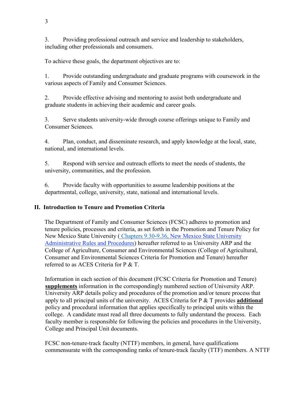3. Providing professional outreach and service and leadership to stakeholders, including other professionals and consumers.

To achieve these goals, the department objectives are to:

1. Provide outstanding undergraduate and graduate programs with coursework in the various aspects of Family and Consumer Sciences.

2. Provide effective advising and mentoring to assist both undergraduate and graduate students in achieving their academic and career goals.

3. Serve students university-wide through course offerings unique to Family and Consumer Sciences.

4. Plan, conduct, and disseminate research, and apply knowledge at the local, state, national, and international levels.

5. Respond with service and outreach efforts to meet the needs of students, the university, communities, and the profession.

6. Provide faculty with opportunities to assume leadership positions at the departmental, college, university, state, national and international levels.

# **II. Introduction to Tenure and Promotion Criteria**

The Department of Family and Consumer Sciences (FCSC) adheres to promotion and tenure policies, processes and criteria, as set forth in the Promotion and Tenure Policy for New Mexico State University ( Chapters 9.30-9.36, New Mexico State University Administrative Rules and Procedures) hereafter referred to as University ARP and the College of Agriculture, Consumer and Environmental Sciences (College of Agricultural, Consumer and Environmental Sciences Criteria for Promotion and Tenure) hereafter referred to as ACES Criteria for P & T.

Information in each section of this document (FCSC Criteria for Promotion and Tenure) **supplements** information in the correspondingly numbered section of University ARP. University ARP details policy and procedures of the promotion and/or tenure process that apply to all principal units of the university. ACES Criteria for P & T provides **additional**  policy and procedural information that applies specifically to principal units within the college. A candidate must read all three documents to fully understand the process. Each faculty member is responsible for following the policies and procedures in the University, College and Principal Unit documents.

FCSC non-tenure-track faculty (NTTF) members, in general, have qualifications commensurate with the corresponding ranks of tenure-track faculty (TTF) members. A NTTF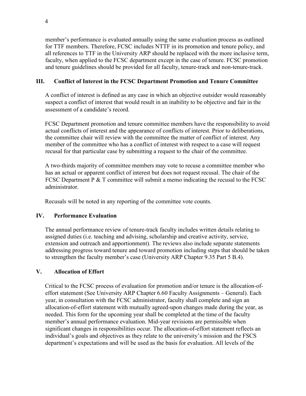member's performance is evaluated annually using the same evaluation process as outlined for TTF members. Therefore, FCSC includes NTTF in its promotion and tenure policy, and all references to TTF in the University ARP should be replaced with the more inclusive term, faculty, when applied to the FCSC department except in the case of tenure. FCSC promotion and tenure guidelines should be provided for all faculty, tenure-track and non-tenure-track.

# **III. Conflict of Interest in the FCSC Department Promotion and Tenure Committee**

A conflict of interest is defined as any case in which an objective outsider would reasonably suspect a conflict of interest that would result in an inability to be objective and fair in the assessment of a candidate's record.

FCSC Department promotion and tenure committee members have the responsibility to avoid actual conflicts of interest and the appearance of conflicts of interest. Prior to deliberations, the committee chair will review with the committee the matter of conflict of interest. Any member of the committee who has a conflict of interest with respect to a case will request recusal for that particular case by submitting a request to the chair of the committee.

A two-thirds majority of committee members may vote to recuse a committee member who has an actual or apparent conflict of interest but does not request recusal. The chair of the FCSC Department P & T committee will submit a memo indicating the recusal to the FCSC administrator.

Recusals will be noted in any reporting of the committee vote counts.

# **IV. Performance Evaluation**

The annual performance review of tenure-track faculty includes written details relating to assigned duties (i.e. teaching and advising, scholarship and creative activity, service, extension and outreach and apportionment). The reviews also include separate statements addressing progress toward tenure and toward promotion including steps that should be taken to strengthen the faculty member's case (University ARP Chapter 9.35 Part 5 B.4).

# **V. Allocation of Effort**

Critical to the FCSC process of evaluation for promotion and/or tenure is the allocation-ofeffort statement (See University ARP Chapter 6.60 Faculty Assignments – General). Each year, in consultation with the FCSC administrator, faculty shall complete and sign an allocation-of-effort statement with mutually agreed-upon changes made during the year, as needed. This form for the upcoming year shall be completed at the time of the faculty member's annual performance evaluation. Mid-year revisions are permissible when significant changes in responsibilities occur. The allocation-of-effort statement reflects an individual's goals and objectives as they relate to the university's mission and the FSCS department's expectations and will be used as the basis for evaluation. All levels of the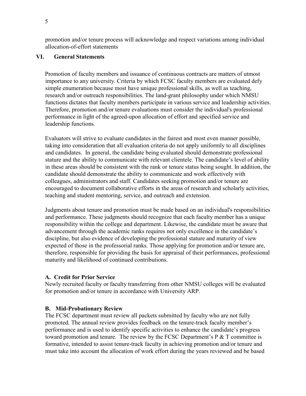promotion and/or tenure process will acknowledge and respect variations among individual allocation-of-effort statements

#### **VI. General Statements**

Promotion of faculty members and issuance of continuous contracts are matters of utmost importance to any university. Criteria by which FCSC faculty members are evaluated defy simple enumeration because most have unique professional skills, as well as teaching, research and/or outreach responsibilities. The land-grant philosophy under which NMSU functions dictates that faculty members participate in various service and leadership activities. Therefore, promotion and/or tenure evaluations must consider the individual's professional performance in light of the agreed-upon allocation of effort and specified service and leadership functions.

Evaluators will strive to evaluate candidates in the fairest and most even manner possible, taking into consideration that all evaluation criteria do not apply uniformly to all disciplines and candidates. In general, the candidate being evaluated should demonstrate professional stature and the ability to communicate with relevant clientele. The candidate's level of ability in these areas should be consistent with the rank or tenure status being sought. In addition, the candidate should demonstrate the ability to communicate and work effectively with colleagues, administrators and staff. Candidates seeking promotion and/or tenure are encouraged to document collaborative efforts in the areas of research and scholarly activities, teaching and student mentoring, service, and outreach and extension.

Judgments about tenure and promotion must be made based on an individual's responsibilities and performance. These judgments should recognize that each faculty member has a unique responsibility within the college and department. Likewise, the candidate must be aware that advancement through the academic ranks requires not only excellence in the candidate's discipline, but also evidence of developing the professional stature and maturity of view expected of those in the professorial ranks. Those applying for promotion and/or tenure are, therefore, responsible for providing the basis for appraisal of their performances, professional maturity and likelihood of continued contributions.

#### **A. Credit for Prior Service**

Newly recruited faculty or faculty transferring from other NMSU colleges will be evaluated for promotion and/or tenure in accordance with University ARP.

#### **B. Mid-Probationary Review**

The FCSC department must review all packets submitted by faculty who are not fully promoted. The annual review provides feedback on the tenure-track faculty member's performance and is used to identify specific activities to enhance the candidate's progress toward promotion and tenure. The review by the FCSC Department's  $P \& T$  committee is formative, intended to assist tenure-track faculty in achieving promotion and/or tenure and must take into account the allocation of work effort during the years reviewed and be based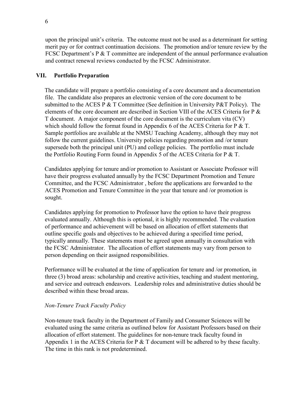upon the principal unit's criteria. The outcome must not be used as a determinant for setting merit pay or for contract continuation decisions. The promotion and/or tenure review by the FCSC Department's P & T committee are independent of the annual performance evaluation and contract renewal reviews conducted by the FCSC Administrator.

#### **VII. Portfolio Preparation**

The candidate will prepare a portfolio consisting of a core document and a documentation file. The candidate also prepares an electronic version of the core document to be submitted to the ACES P  $&$  T Committee (See definition in University P $&$ T Policy). The elements of the core document are described in Section VIII of the ACES Criteria for P & T document. A major component of the core document is the curriculum vita (CV) which should follow the format found in Appendix 6 of the ACES Criteria for  $P \& T$ . Sample portfolios are available at the NMSU Teaching Academy, although they may not follow the current guidelines. University policies regarding promotion and /or tenure supersede both the principal unit (PU) and college policies. The portfolio must include the Portfolio Routing Form found in Appendix 5 of the ACES Criteria for P & T.

Candidates applying for tenure and/or promotion to Assistant or Associate Professor will have their progress evaluated annually by the FCSC Department Promotion and Tenure Committee, and the FCSC Administrator , before the applications are forwarded to the ACES Promotion and Tenure Committee in the year that tenure and /or promotion is sought.

Candidates applying for promotion to Professor have the option to have their progress evaluated annually. Although this is optional, it is highly recommended. The evaluation of performance and achievement will be based on allocation of effort statements that outline specific goals and objectives to be achieved during a specified time period, typically annually. These statements must be agreed upon annually in consultation with the FCSC Administrator. The allocation of effort statements may vary from person to person depending on their assigned responsibilities.

Performance will be evaluated at the time of application for tenure and /or promotion, in three (3) broad areas: scholarship and creative activities, teaching and student mentoring, and service and outreach endeavors. Leadership roles and administrative duties should be described within these broad areas.

# *Non-Tenure Track Faculty Policy*

Non-tenure track faculty in the Department of Family and Consumer Sciences will be evaluated using the same criteria as outlined below for Assistant Professors based on their allocation of effort statement. The guidelines for non-tenure track faculty found in Appendix 1 in the ACES Criteria for  $P \& T$  document will be adhered to by these faculty. The time in this rank is not predetermined.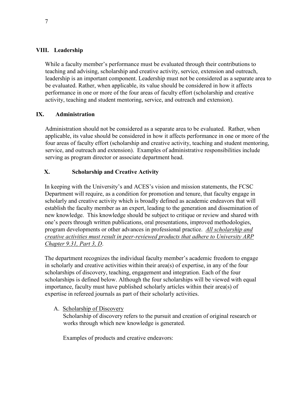### **VIII. Leadership**

While a faculty member's performance must be evaluated through their contributions to teaching and advising, scholarship and creative activity, service, extension and outreach, leadership is an important component. Leadership must not be considered as a separate area to be evaluated. Rather, when applicable, its value should be considered in how it affects performance in one or more of the four areas of faculty effort (scholarship and creative activity, teaching and student mentoring, service, and outreach and extension).

# **IX. Administration**

Administration should not be considered as a separate area to be evaluated. Rather, when applicable, its value should be considered in how it affects performance in one or more of the four areas of faculty effort (scholarship and creative activity, teaching and student mentoring, service, and outreach and extension). Examples of administrative responsibilities include serving as program director or associate department head.

# **X. Scholarship and Creative Activity**

In keeping with the University's and ACES's vision and mission statements, the FCSC Department will require, as a condition for promotion and tenure, that faculty engage in scholarly and creative activity which is broadly defined as academic endeavors that will establish the faculty member as an expert, leading to the generation and dissemination of new knowledge. This knowledge should be subject to critique or review and shared with one's peers through written publications, oral presentations, improved methodologies, program developments or other advances in professional practice. *All scholarship and creative activities must result in peer-reviewed products that adhere to University ARP Chapter 9.31, Part 3, D*.

The department recognizes the individual faculty member's academic freedom to engage in scholarly and creative activities within their area(s) of expertise, in any of the four scholarships of discovery, teaching, engagement and integration. Each of the four scholarships is defined below. Although the four scholarships will be viewed with equal importance, faculty must have published scholarly articles within their area(s) of expertise in refereed journals as part of their scholarly activities.

# A. Scholarship of Discovery

Scholarship of discovery refers to the pursuit and creation of original research or works through which new knowledge is generated.

Examples of products and creative endeavors: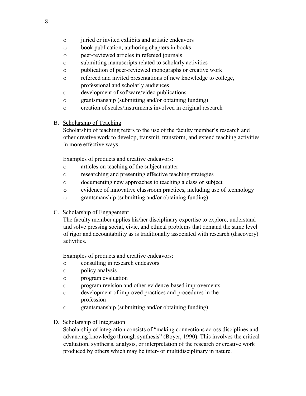- o juried or invited exhibits and artistic endeavors
- o book publication; authoring chapters in books
- o peer-reviewed articles in refereed journals
- o submitting manuscripts related to scholarly activities
- o publication of peer-reviewed monographs or creative work
- o refereed and invited presentations of new knowledge to college, professional and scholarly audiences
- o development of software/video publications
- o grantsmanship (submitting and/or obtaining funding)
- o creation of scales/instruments involved in original research
- B. Scholarship of Teaching

Scholarship of teaching refers to the use of the faculty member's research and other creative work to develop, transmit, transform, and extend teaching activities in more effective ways.

Examples of products and creative endeavors:

- o articles on teaching of the subject matter
- o researching and presenting effective teaching strategies
- o documenting new approaches to teaching a class or subject
- o evidence of innovative classroom practices, including use of technology
- o grantsmanship (submitting and/or obtaining funding)
- C. Scholarship of Engagement

The faculty member applies his/her disciplinary expertise to explore, understand and solve pressing social, civic, and ethical problems that demand the same level of rigor and accountability as is traditionally associated with research (discovery) activities.

Examples of products and creative endeavors:

- o consulting in research endeavors
- o policy analysis
- o program evaluation
- o program revision and other evidence-based improvements
- o development of improved practices and procedures in the profession
- o grantsmanship (submitting and/or obtaining funding)
- D. Scholarship of Integration

Scholarship of integration consists of "making connections across disciplines and advancing knowledge through synthesis" (Boyer, 1990). This involves the critical evaluation, synthesis, analysis, or interpretation of the research or creative work produced by others which may be inter- or multidisciplinary in nature.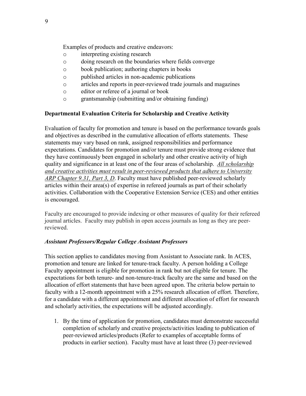Examples of products and creative endeavors:

- o interpreting existing research
- o doing research on the boundaries where fields converge
- o book publication; authoring chapters in books
- o published articles in non-academic publications
- o articles and reports in peer-reviewed trade journals and magazines
- o editor or referee of a journal or book
- o grantsmanship (submitting and/or obtaining funding)

#### **Departmental Evaluation Criteria for Scholarship and Creative Activity**

Evaluation of faculty for promotion and tenure is based on the performance towards goals and objectives as described in the cumulative allocation of efforts statements. These statements may vary based on rank, assigned responsibilities and performance expectations. Candidates for promotion and/or tenure must provide strong evidence that they have continuously been engaged in scholarly and other creative activity of high quality and significance in at least one of the four areas of scholarship. *All scholarship and creative activities must result in peer-reviewed products that adhere to University ARP Chapter 9.31, Part 3, D*. Faculty must have published peer-reviewed scholarly articles within their area(s) of expertise in refereed journals as part of their scholarly activities. Collaboration with the Cooperative Extension Service (CES) and other entities is encouraged.

Faculty are encouraged to provide indexing or other measures of quality for their refereed journal articles. Faculty may publish in open access journals as long as they are peerreviewed.

# *Assistant Professors/Regular College Assistant Professors*

This section applies to candidates moving from Assistant to Associate rank. In ACES, promotion and tenure are linked for tenure-track faculty. A person holding a College Faculty appointment is eligible for promotion in rank but not eligible for tenure. The expectations for both tenure- and non-tenure-track faculty are the same and based on the allocation of effort statements that have been agreed upon. The criteria below pertain to faculty with a 12-month appointment with a 25% research allocation of effort. Therefore, for a candidate with a different appointment and different allocation of effort for research and scholarly activities, the expectations will be adjusted accordingly.

1. By the time of application for promotion, candidates must demonstrate successful completion of scholarly and creative projects/activities leading to publication of peer-reviewed articles/products (Refer to examples of acceptable forms of products in earlier section). Faculty must have at least three (3) peer-reviewed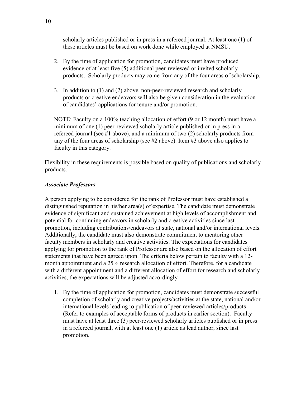scholarly articles published or in press in a refereed journal. At least one (1) of these articles must be based on work done while employed at NMSU.

- 2. By the time of application for promotion, candidates must have produced evidence of at least five (5) additional peer-reviewed or invited scholarly products. Scholarly products may come from any of the four areas of scholarship.
- 3. In addition to (1) and (2) above, non-peer-reviewed research and scholarly products or creative endeavors will also be given consideration in the evaluation of candidates' applications for tenure and/or promotion.

NOTE: Faculty on a 100% teaching allocation of effort (9 or 12 month) must have a minimum of one (1) peer-reviewed scholarly article published or in press in a refereed journal (see #1 above), and a minimum of two (2) scholarly products from any of the four areas of scholarship (see #2 above). Item #3 above also applies to faculty in this category.

Flexibility in these requirements is possible based on quality of publications and scholarly products.

#### *Associate Professors*

A person applying to be considered for the rank of Professor must have established a distinguished reputation in his/her area(s) of expertise. The candidate must demonstrate evidence of significant and sustained achievement at high levels of accomplishment and potential for continuing endeavors in scholarly and creative activities since last promotion, including contributions/endeavors at state, national and/or international levels. Additionally, the candidate must also demonstrate commitment to mentoring other faculty members in scholarly and creative activities. The expectations for candidates applying for promotion to the rank of Professor are also based on the allocation of effort statements that have been agreed upon. The criteria below pertain to faculty with a 12 month appointment and a 25% research allocation of effort. Therefore, for a candidate with a different appointment and a different allocation of effort for research and scholarly activities, the expectations will be adjusted accordingly.

1. By the time of application for promotion, candidates must demonstrate successful completion of scholarly and creative projects/activities at the state, national and/or international levels leading to publication of peer-reviewed articles/products (Refer to examples of acceptable forms of products in earlier section). Faculty must have at least three (3) peer-reviewed scholarly articles published or in press in a refereed journal, with at least one (1) article as lead author, since last promotion.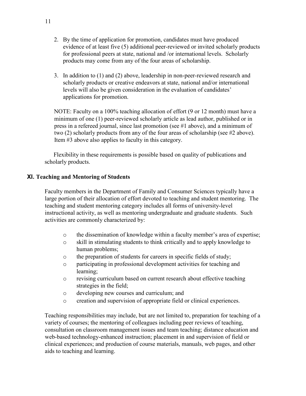- 2. By the time of application for promotion, candidates must have produced evidence of at least five (5) additional peer-reviewed or invited scholarly products for professional peers at state, national and /or international levels. Scholarly products may come from any of the four areas of scholarship.
- 3. In addition to (1) and (2) above, leadership in non-peer-reviewed research and scholarly products or creative endeavors at state, national and/or international levels will also be given consideration in the evaluation of candidates' applications for promotion.

NOTE: Faculty on a 100% teaching allocation of effort (9 or 12 month) must have a minimum of one (1) peer-reviewed scholarly article as lead author, published or in press in a refereed journal, since last promotion (see #1 above), and a minimum of two (2) scholarly products from any of the four areas of scholarship (see #2 above). Item #3 above also applies to faculty in this category.

Flexibility in these requirements is possible based on quality of publications and scholarly products.

# **XI. Teaching and Mentoring of Students**

Faculty members in the Department of Family and Consumer Sciences typically have a large portion of their allocation of effort devoted to teaching and student mentoring. The teaching and student mentoring category includes all forms of university-level instructional activity, as well as mentoring undergraduate and graduate students. Such activities are commonly characterized by:

- o the dissemination of knowledge within a faculty member's area of expertise;
- o skill in stimulating students to think critically and to apply knowledge to human problems;
- o the preparation of students for careers in specific fields of study;
- o participating in professional development activities for teaching and learning;
- o revising curriculum based on current research about effective teaching strategies in the field;
- o developing new courses and curriculum; and
- o creation and supervision of appropriate field or clinical experiences.

Teaching responsibilities may include, but are not limited to, preparation for teaching of a variety of courses; the mentoring of colleagues including peer reviews of teaching, consultation on classroom management issues and team teaching; distance education and web-based technology-enhanced instruction; placement in and supervision of field or clinical experiences; and production of course materials, manuals, web pages, and other aids to teaching and learning.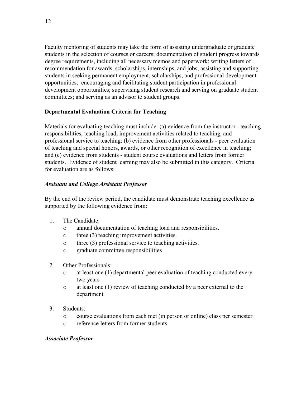Faculty mentoring of students may take the form of assisting undergraduate or graduate students in the selection of courses or careers; documentation of student progress towards degree requirements, including all necessary memos and paperwork; writing letters of recommendation for awards, scholarships, internships, and jobs; assisting and supporting students in seeking permanent employment, scholarships, and professional development opportunities; encouraging and facilitating student participation in professional development opportunities; supervising student research and serving on graduate student committees; and serving as an advisor to student groups.

#### **Departmental Evaluation Criteria for Teaching**

Materials for evaluating teaching must include: (a) evidence from the instructor - teaching responsibilities, teaching load, improvement activities related to teaching, and professional service to teaching; (b) evidence from other professionals - peer evaluation of teaching and special honors, awards, or other recognition of excellence in teaching; and (c) evidence from students - student course evaluations and letters from former students. Evidence of student learning may also be submitted in this category. Criteria for evaluation are as follows:

#### *Assistant and College Assistant Professor*

By the end of the review period, the candidate must demonstrate teaching excellence as supported by the following evidence from:

- 1. The Candidate:
	- o annual documentation of teaching load and responsibilities.
	- o three (3) teaching improvement activities.
	- o three (3) professional service to teaching activities.
	- o graduate committee responsibilities
- 2. Other Professionals:
	- o at least one (1) departmental peer evaluation of teaching conducted every two years
	- o at least one (1) review of teaching conducted by a peer external to the department
- 3. Students:
	- o course evaluations from each met (in person or online) class per semester
	- o reference letters from former students

#### *Associate Professor*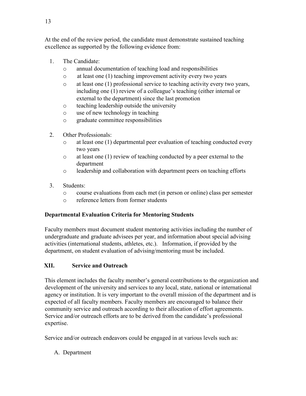At the end of the review period, the candidate must demonstrate sustained teaching excellence as supported by the following evidence from:

- 1. The Candidate:
	- o annual documentation of teaching load and responsibilities
	- o at least one (1) teaching improvement activity every two years
	- o at least one (1) professional service to teaching activity every two years, including one (1) review of a colleague's teaching (either internal or external to the department) since the last promotion
	- o teaching leadership outside the university
	- o use of new technology in teaching
	- o graduate committee responsibilities
- 2. Other Professionals:
	- o at least one (1) departmental peer evaluation of teaching conducted every two years
	- o at least one (1) review of teaching conducted by a peer external to the department
	- o leadership and collaboration with department peers on teaching efforts
- 3. Students:
	- o course evaluations from each met (in person or online) class per semester
	- o reference letters from former students

# **Departmental Evaluation Criteria for Mentoring Students**

Faculty members must document student mentoring activities including the number of undergraduate and graduate advisees per year, and information about special advising activities (international students, athletes, etc.). Information, if provided by the department, on student evaluation of advising/mentoring must be included.

# **XII. Service and Outreach**

This element includes the faculty member's general contributions to the organization and development of the university and services to any local, state, national or international agency or institution. It is very important to the overall mission of the department and is expected of all faculty members. Faculty members are encouraged to balance their community service and outreach according to their allocation of effort agreements. Service and/or outreach efforts are to be derived from the candidate's professional expertise.

Service and/or outreach endeavors could be engaged in at various levels such as:

A. Department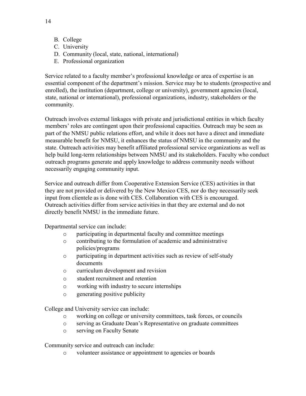- B. College
- C. University
- D. Community (local, state, national, international)
- E. Professional organization

Service related to a faculty member's professional knowledge or area of expertise is an essential component of the department's mission. Service may be to students (prospective and enrolled), the institution (department, college or university), government agencies (local, state, national or international), professional organizations, industry, stakeholders or the community.

Outreach involves external linkages with private and jurisdictional entities in which faculty members' roles are contingent upon their professional capacities. Outreach may be seen as part of the NMSU public relations effort, and while it does not have a direct and immediate measurable benefit for NMSU, it enhances the status of NMSU in the community and the state. Outreach activities may benefit affiliated professional service organizations as well as help build long-term relationships between NMSU and its stakeholders. Faculty who conduct outreach programs generate and apply knowledge to address community needs without necessarily engaging community input.

Service and outreach differ from Cooperative Extension Service (CES) activities in that they are not provided or delivered by the New Mexico CES, nor do they necessarily seek input from clientele as is done with CES. Collaboration with CES is encouraged. Outreach activities differ from service activities in that they are external and do not directly benefit NMSU in the immediate future.

Departmental service can include:

- o participating in departmental faculty and committee meetings
- o contributing to the formulation of academic and administrative policies/programs
- o participating in department activities such as review of self-study documents
- o curriculum development and revision
- o student recruitment and retention
- o working with industry to secure internships
- o generating positive publicity

College and University service can include:

- o working on college or university committees, task forces, or councils
- o serving as Graduate Dean's Representative on graduate committees
- o serving on Faculty Senate

Community service and outreach can include:

o volunteer assistance or appointment to agencies or boards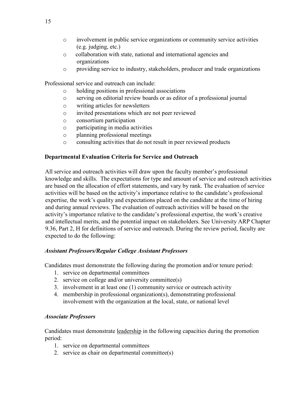- o involvement in public service organizations or community service activities (e.g. judging, etc.)
- o collaboration with state, national and international agencies and organizations
- o providing service to industry, stakeholders, producer and trade organizations

Professional service and outreach can include:

- o holding positions in professional associations
- o serving on editorial review boards or as editor of a professional journal
- o writing articles for newsletters
- o invited presentations which are not peer reviewed
- o consortium participation
- o participating in media activities
- o planning professional meetings
- o consulting activities that do not result in peer reviewed products

# **Departmental Evaluation Criteria for Service and Outreach**

All service and outreach activities will draw upon the faculty member's professional knowledge and skills. The expectations for type and amount of service and outreach activities are based on the allocation of effort statements, and vary by rank. The evaluation of service activities will be based on the activity's importance relative to the candidate's professional expertise, the work's quality and expectations placed on the candidate at the time of hiring and during annual reviews. The evaluation of outreach activities will be based on the activity's importance relative to the candidate's professional expertise, the work's creative and intellectual merits, and the potential impact on stakeholders. See University ARP Chapter 9.36, Part 2, H for definitions of service and outreach. During the review period, faculty are expected to do the following:

# *Assistant Professors/Regular College Assistant Professors*

Candidates must demonstrate the following during the promotion and/or tenure period:

- 1. service on departmental committees
- 2. service on college and/or university committee(s)
- 3. involvement in at least one (1) community service or outreach activity
- 4. membership in professional organization(s), demonstrating professional involvement with the organization at the local, state, or national level

# *Associate Professors*

Candidates must demonstrate leadership in the following capacities during the promotion period:

- 1. service on departmental committees
- 2. service as chair on departmental committee(s)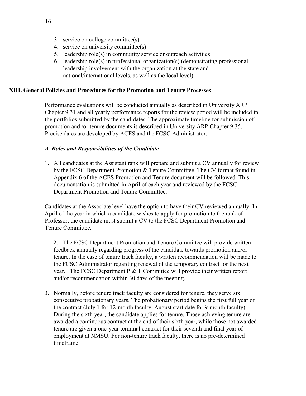- 3. service on college committee(s)
- 4. service on university committee(s)
- 5. leadership role(s) in community service or outreach activities
- 6. leadership role(s) in professional organization(s) (demonstrating professional leadership involvement with the organization at the state and national/international levels, as well as the local level)

#### **XIII. General Policies and Procedures for the Promotion and Tenure Processes**

Performance evaluations will be conducted annually as described in University ARP Chapter 9.31 and all yearly performance reports for the review period will be included in the portfolios submitted by the candidates. The approximate timeline for submission of promotion and /or tenure documents is described in University ARP Chapter 9.35. Precise dates are developed by ACES and the FCSC Administrator.

#### *A. Roles and Responsibilities of the Candidate*

1. All candidates at the Assistant rank will prepare and submit a CV annually for review by the FCSC Department Promotion & Tenure Committee. The CV format found in Appendix 6 of the ACES Promotion and Tenure document will be followed. This documentation is submitted in April of each year and reviewed by the FCSC Department Promotion and Tenure Committee.

Candidates at the Associate level have the option to have their CV reviewed annually. In April of the year in which a candidate wishes to apply for promotion to the rank of Professor, the candidate must submit a CV to the FCSC Department Promotion and Tenure Committee.

2. The FCSC Department Promotion and Tenure Committee will provide written feedback annually regarding progress of the candidate towards promotion and/or tenure. In the case of tenure track faculty, a written recommendation will be made to the FCSC Administrator regarding renewal of the temporary contract for the next year. The FCSC Department P & T Committee will provide their written report and/or recommendation within 30 days of the meeting.

3. Normally, before tenure track faculty are considered for tenure, they serve six consecutive probationary years. The probationary period begins the first full year of the contract (July 1 for 12-month faculty, August start date for 9-month faculty). During the sixth year, the candidate applies for tenure. Those achieving tenure are awarded a continuous contract at the end of their sixth year, while those not awarded tenure are given a one-year terminal contract for their seventh and final year of employment at NMSU. For non-tenure track faculty, there is no pre-determined timeframe.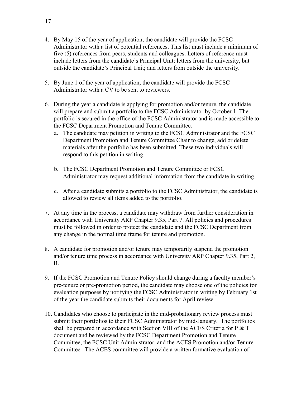- 4. By May 15 of the year of application, the candidate will provide the FCSC Administrator with a list of potential references. This list must include a minimum of five (5) references from peers, students and colleagues. Letters of reference must include letters from the candidate's Principal Unit; letters from the university, but outside the candidate's Principal Unit; and letters from outside the university.
- 5. By June 1 of the year of application, the candidate will provide the FCSC Administrator with a CV to be sent to reviewers.
- 6. During the year a candidate is applying for promotion and/or tenure, the candidate will prepare and submit a portfolio to the FCSC Administrator by October 1. The portfolio is secured in the office of the FCSC Administrator and is made accessible to the FCSC Department Promotion and Tenure Committee.
	- a. The candidate may petition in writing to the FCSC Administrator and the FCSC Department Promotion and Tenure Committee Chair to change, add or delete materials after the portfolio has been submitted. These two individuals will respond to this petition in writing.
	- b. The FCSC Department Promotion and Tenure Committee or FCSC Administrator may request additional information from the candidate in writing.
	- c. After a candidate submits a portfolio to the FCSC Administrator, the candidate is allowed to review all items added to the portfolio.
- 7. At any time in the process, a candidate may withdraw from further consideration in accordance with University ARP Chapter 9.35, Part 7. All policies and procedures must be followed in order to protect the candidate and the FCSC Department from any change in the normal time frame for tenure and promotion.
- 8. A candidate for promotion and/or tenure may temporarily suspend the promotion and/or tenure time process in accordance with University ARP Chapter 9.35, Part 2, B.
- 9. If the FCSC Promotion and Tenure Policy should change during a faculty member's pre-tenure or pre-promotion period, the candidate may choose one of the policies for evaluation purposes by notifying the FCSC Administrator in writing by February 1st of the year the candidate submits their documents for April review.
- 10. Candidates who choose to participate in the mid-probationary review process must submit their portfolios to their FCSC Administrator by mid-January. The portfolios shall be prepared in accordance with Section VIII of the ACES Criteria for P & T document and be reviewed by the FCSC Department Promotion and Tenure Committee, the FCSC Unit Administrator, and the ACES Promotion and/or Tenure Committee. The ACES committee will provide a written formative evaluation of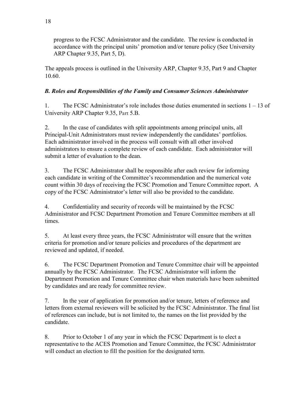progress to the FCSC Administrator and the candidate. The review is conducted in accordance with the principal units' promotion and/or tenure policy (See University ARP Chapter 9.35, Part 5, D).

The appeals process is outlined in the University ARP, Chapter 9.35, Part 9 and Chapter 10.60.

# *B. Roles and Responsibilities of the Family and Consumer Sciences Administrator*

1. The FCSC Administrator's role includes those duties enumerated in sections 1 – 13 of University ARP Chapter 9.35, Part 5.B.

2. In the case of candidates with split appointments among principal units, all Principal-Unit Administrators must review independently the candidates' portfolios. Each administrator involved in the process will consult with all other involved administrators to ensure a complete review of each candidate. Each administrator will submit a letter of evaluation to the dean.

3. The FCSC Administrator shall be responsible after each review for informing each candidate in writing of the Committee's recommendation and the numerical vote count within 30 days of receiving the FCSC Promotion and Tenure Committee report. A copy of the FCSC Administrator's letter will also be provided to the candidate.

4. Confidentiality and security of records will be maintained by the FCSC Administrator and FCSC Department Promotion and Tenure Committee members at all times.

5. At least every three years, the FCSC Administrator will ensure that the written criteria for promotion and/or tenure policies and procedures of the department are reviewed and updated, if needed.

6. The FCSC Department Promotion and Tenure Committee chair will be appointed annually by the FCSC Administrator. The FCSC Administrator will inform the Department Promotion and Tenure Committee chair when materials have been submitted by candidates and are ready for committee review.

7. In the year of application for promotion and/or tenure, letters of reference and letters from external reviewers will be solicited by the FCSC Administrator. The final list of references can include, but is not limited to, the names on the list provided by the candidate.

8. Prior to October 1 of any year in which the FCSC Department is to elect a representative to the ACES Promotion and Tenure Committee, the FCSC Administrator will conduct an election to fill the position for the designated term.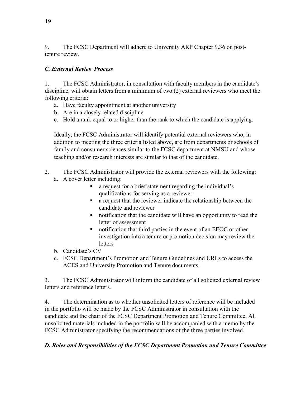9. The FCSC Department will adhere to University ARP Chapter 9.36 on posttenure review.

# *C. External Review Process*

1. The FCSC Administrator, in consultation with faculty members in the candidate's discipline, will obtain letters from a minimum of two (2) external reviewers who meet the following criteria:

- a. Have faculty appointment at another university
- b. Are in a closely related discipline
- c. Hold a rank equal to or higher than the rank to which the candidate is applying.

Ideally, the FCSC Administrator will identify potential external reviewers who, in addition to meeting the three criteria listed above, are from departments or schools of family and consumer sciences similar to the FCSC department at NMSU and whose teaching and/or research interests are similar to that of the candidate.

- 2. The FCSC Administrator will provide the external reviewers with the following:
	- a. A cover letter including:
		- a request for a brief statement regarding the individual's qualifications for serving as a reviewer
		- a request that the reviewer indicate the relationship between the candidate and reviewer
		- notification that the candidate will have an opportunity to read the letter of assessment
		- notification that third parties in the event of an EEOC or other investigation into a tenure or promotion decision may review the letters
	- b. Candidate's CV
	- c. FCSC Department's Promotion and Tenure Guidelines and URLs to access the ACES and University Promotion and Tenure documents.

3. The FCSC Administrator will inform the candidate of all solicited external review letters and reference letters.

4. The determination as to whether unsolicited letters of reference will be included in the portfolio will be made by the FCSC Administrator in consultation with the candidate and the chair of the FCSC Department Promotion and Tenure Committee. All unsolicited materials included in the portfolio will be accompanied with a memo by the FCSC Administrator specifying the recommendations of the three parties involved.

# *D. Roles and Responsibilities of the FCSC Department Promotion and Tenure Committee*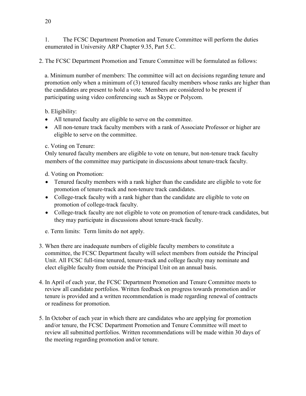1. The FCSC Department Promotion and Tenure Committee will perform the duties enumerated in University ARP Chapter 9.35, Part 5.C.

2. The FCSC Department Promotion and Tenure Committee will be formulated as follows:

a. Minimum number of members: The committee will act on decisions regarding tenure and promotion only when a minimum of (3) tenured faculty members whose ranks are higher than the candidates are present to hold a vote. Members are considered to be present if participating using video conferencing such as Skype or Polycom.

b. Eligibility:

- All tenured faculty are eligible to serve on the committee.
- All non-tenure track faculty members with a rank of Associate Professor or higher are eligible to serve on the committee.

c. Voting on Tenure:

Only tenured faculty members are eligible to vote on tenure, but non-tenure track faculty members of the committee may participate in discussions about tenure-track faculty.

d. Voting on Promotion:

- Tenured faculty members with a rank higher than the candidate are eligible to vote for promotion of tenure-track and non-tenure track candidates.
- College-track faculty with a rank higher than the candidate are eligible to vote on promotion of college-track faculty.
- College-track faculty are not eligible to vote on promotion of tenure-track candidates, but they may participate in discussions about tenure-track faculty.

e. Term limits: Term limits do not apply.

- 3. When there are inadequate numbers of eligible faculty members to constitute a committee, the FCSC Department faculty will select members from outside the Principal Unit. All FCSC full-time tenured, tenure-track and college faculty may nominate and elect eligible faculty from outside the Principal Unit on an annual basis.
- 4. In April of each year, the FCSC Department Promotion and Tenure Committee meets to review all candidate portfolios. Written feedback on progress towards promotion and/or tenure is provided and a written recommendation is made regarding renewal of contracts or readiness for promotion.
- 5. In October of each year in which there are candidates who are applying for promotion and/or tenure, the FCSC Department Promotion and Tenure Committee will meet to review all submitted portfolios. Written recommendations will be made within 30 days of the meeting regarding promotion and/or tenure.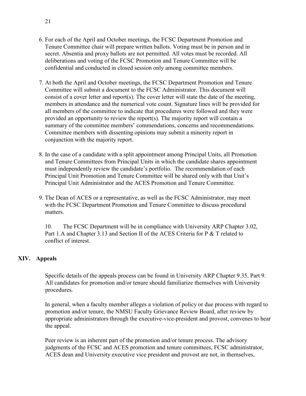- 6. For each of the April and October meetings, the FCSC Department Promotion and Tenure Committee chair will prepare written ballots. Voting must be in person and in secret. Absentia and proxy ballots are not permitted. All votes must be recorded. All deliberations and voting of the FCSC Promotion and Tenure Committee will be confidential and conducted in closed session only among committee members.
- 7. At both the April and October meetings, the FCSC Department Promotion and Tenure Committee will submit a document to the FCSC Administrator. This document will consist of a cover letter and report(s). The cover letter will state the date of the meeting, members in attendance and the numerical vote count. Signature lines will be provided for all members of the committee to indicate that procedures were followed and they were provided an opportunity to review the report(s). The majority report will contain a summary of the committee members' commendations, concerns and recommendations. Committee members with dissenting opinions may submit a minority report in conjunction with the majority report.
- 8. In the case of a candidate with a split appointment among Principal Units, all Promotion and Tenure Committees from Principal Units in which the candidate shares appointment must independently review the candidate's portfolio. The recommendation of each Principal Unit Promotion and Tenure Committee will be shared only with that Unit's Principal Unit Administrator and the ACES Promotion and Tenure Committee.
- 9. The Dean of ACES or a representative, as well as the FCSC Administrator, may meet with the FCSC Department Promotion and Tenure Committee to discuss procedural matters.

10. The FCSC Department will be in compliance with University ARP Chapter 3.02, Part 1.A and Chapter 3.13 and Section II of the ACES Criteria for P & T related to conflict of interest.

# **XIV. Appeals**

Specific details of the appeals process can be found in University ARP Chapter 9.35, Part 9. All candidates for promotion and/or tenure should familiarize themselves with University procedures.

In general, when a faculty member alleges a violation of policy or due process with regard to promotion and/or tenure, the NMSU Faculty Grievance Review Board, after review by appropriate administrators through the executive-vice-president and provost, convenes to hear the appeal.

Peer review is an inherent part of the promotion and/or tenure process. The advisory judgments of the FCSC and ACES promotion and tenure committees, FCSC administrator, ACES dean and University executive vice president and provost are not, in themselves,